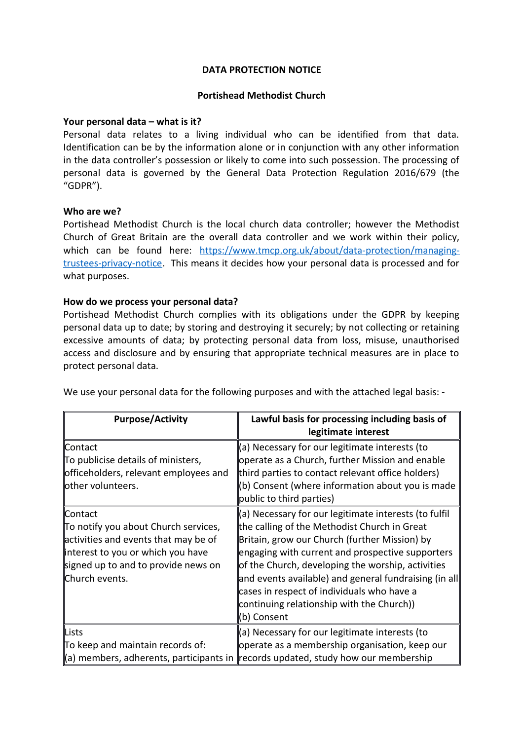### **DATA PROTECTION NOTICE**

### **Portishead Methodist Church**

### **Your personal data – what is it?**

Personal data relates to a living individual who can be identified from that data. Identification can be by the information alone or in conjunction with any other information in the data controller's possession or likely to come into such possession. The processing of personal data is governed by the General Data Protection Regulation 2016/679 (the "GDPR").

### **Who are we?**

Portishead Methodist Church is the local church data controller; however the Methodist Church of Great Britain are the overall data controller and we work within their policy, which can be found here: [https://www.tmcp.org.uk/about/data-protection/managing](https://www.tmcp.org.uk/about/data-protection/managing-trustees-privacy-notice)[trustees-privacy-notice.](https://www.tmcp.org.uk/about/data-protection/managing-trustees-privacy-notice) This means it decides how your personal data is processed and for what purposes.

### **How do we process your personal data?**

Portishead Methodist Church complies with its obligations under the GDPR by keeping personal data up to date; by storing and destroying it securely; by not collecting or retaining excessive amounts of data; by protecting personal data from loss, misuse, unauthorised access and disclosure and by ensuring that appropriate technical measures are in place to protect personal data.

| <b>Purpose/Activity</b>                                                                                                                                                                 | Lawful basis for processing including basis of<br>legitimate interest                                                                                                                                                                                                                                                                                                                                                              |
|-----------------------------------------------------------------------------------------------------------------------------------------------------------------------------------------|------------------------------------------------------------------------------------------------------------------------------------------------------------------------------------------------------------------------------------------------------------------------------------------------------------------------------------------------------------------------------------------------------------------------------------|
| ∥Contact<br>To publicise details of ministers,<br>officeholders, relevant employees and<br>other volunteers.                                                                            | (a) Necessary for our legitimate interests (to<br>operate as a Church, further Mission and enable<br>third parties to contact relevant office holders)<br>(b) Consent (where information about you is made<br>public to third parties)                                                                                                                                                                                             |
| ∥Contact<br>To notify you about Church services,<br>activities and events that may be of<br>interest to you or which you have<br>signed up to and to provide news on<br>∥Church events. | (a) Necessary for our legitimate interests (to fulfil<br>the calling of the Methodist Church in Great<br>Britain, grow our Church (further Mission) by<br>engaging with current and prospective supporters<br>of the Church, developing the worship, activities<br>and events available) and general fundraising (in all<br>cases in respect of individuals who have a<br>continuing relationship with the Church))<br>(b) Consent |
| Lists<br>To keep and maintain records of:<br>a) members, adherents, participants in                                                                                                     | (a) Necessary for our legitimate interests (to<br>operate as a membership organisation, keep our<br>records updated, study how our membership                                                                                                                                                                                                                                                                                      |

We use your personal data for the following purposes and with the attached legal basis: -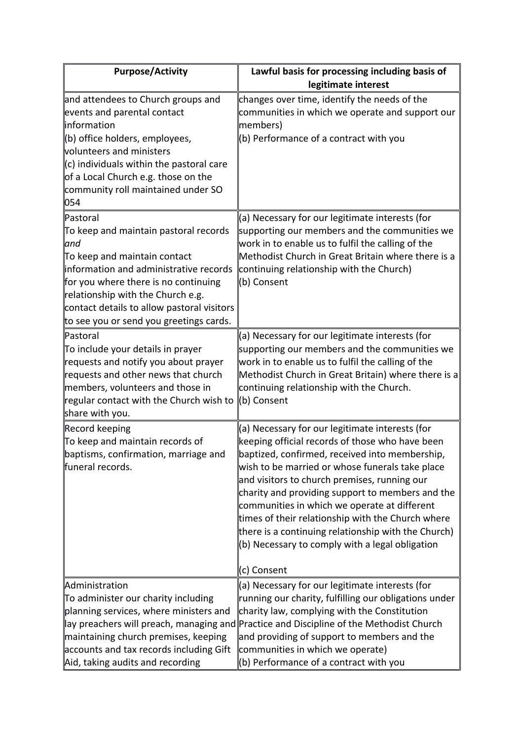| <b>Purpose/Activity</b>                                                                                                                                                                                                                                                                                                       | Lawful basis for processing including basis of<br>legitimate interest                                                                                                                                                                                                                                                                                                                                                                                                                                                                          |
|-------------------------------------------------------------------------------------------------------------------------------------------------------------------------------------------------------------------------------------------------------------------------------------------------------------------------------|------------------------------------------------------------------------------------------------------------------------------------------------------------------------------------------------------------------------------------------------------------------------------------------------------------------------------------------------------------------------------------------------------------------------------------------------------------------------------------------------------------------------------------------------|
| and attendees to Church groups and<br>events and parental contact<br>linformation<br>(b) office holders, employees,<br>volunteers and ministers<br>$\ $ (c) individuals within the pastoral care<br>of a Local Church e.g. those on the<br>community roll maintained under SO<br> 054                                         | changes over time, identify the needs of the<br>communities in which we operate and support our<br>members)<br>(b) Performance of a contract with you                                                                                                                                                                                                                                                                                                                                                                                          |
| ∥Pastoral<br>To keep and maintain pastoral records<br>$\mathsf{u}$<br>$\mathbb T$ o keep and maintain contact<br>information and administrative records<br>for you where there is no continuing<br>relationship with the Church e.g.<br>contact details to allow pastoral visitors<br>to see you or send you greetings cards. | (a) Necessary for our legitimate interests (for<br>supporting our members and the communities we<br>work in to enable us to fulfil the calling of the<br>Methodist Church in Great Britain where there is a<br>continuing relationship with the Church)<br>(b) Consent                                                                                                                                                                                                                                                                         |
| ∥Pastoral<br>To include your details in prayer<br>requests and notify you about prayer<br>requests and other news that church<br>members, volunteers and those in<br>regular contact with the Church wish to<br>share with you.                                                                                               | (a) Necessary for our legitimate interests (for<br>supporting our members and the communities we<br>work in to enable us to fulfil the calling of the<br>Methodist Church in Great Britain) where there is a<br>continuing relationship with the Church.<br>∥(b) Consent                                                                                                                                                                                                                                                                       |
| Record keeping<br>To keep and maintain records of<br>baptisms, confirmation, marriage and<br>funeral records.                                                                                                                                                                                                                 | (a) Necessary for our legitimate interests (for<br>keeping official records of those who have been<br>baptized, confirmed, received into membership,<br>wish to be married or whose funerals take place<br>and visitors to church premises, running our<br>charity and providing support to members and the<br>communities in which we operate at different<br>times of their relationship with the Church where<br>there is a continuing relationship with the Church)<br>$\ $ (b) Necessary to comply with a legal obligation<br>∥c) Consent |
| Administration<br>To administer our charity including<br>planning services, where ministers and<br>maintaining church premises, keeping<br>accounts and tax records including Gift<br>Aid, taking audits and recording                                                                                                        | (a) Necessary for our legitimate interests (for<br>running our charity, fulfilling our obligations under<br>charity law, complying with the Constitution<br>lay preachers will preach, managing and Practice and Discipline of the Methodist Church<br>and providing of support to members and the<br>communities in which we operate)<br>$\parallel$ (b) Performance of a contract with you                                                                                                                                                   |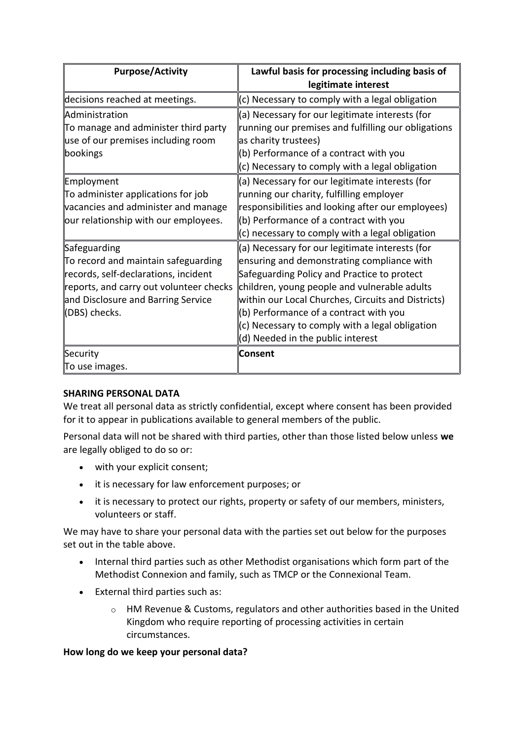| Lawful basis for processing including basis of<br>legitimate interest                                                                                                                                                                                                                                                                                                                |
|--------------------------------------------------------------------------------------------------------------------------------------------------------------------------------------------------------------------------------------------------------------------------------------------------------------------------------------------------------------------------------------|
| (c) Necessary to comply with a legal obligation                                                                                                                                                                                                                                                                                                                                      |
| (a) Necessary for our legitimate interests (for<br>running our premises and fulfilling our obligations<br>(b) Performance of a contract with you<br>(c) Necessary to comply with a legal obligation                                                                                                                                                                                  |
| (a) Necessary for our legitimate interests (for<br>running our charity, fulfilling employer<br>responsibilities and looking after our employees)<br>(b) Performance of a contract with you<br>(c) necessary to comply with a legal obligation                                                                                                                                        |
| (a) Necessary for our legitimate interests (for<br>ensuring and demonstrating compliance with<br>Safeguarding Policy and Practice to protect<br>children, young people and vulnerable adults<br>within our Local Churches, Circuits and Districts)<br>(b) Performance of a contract with you<br>(c) Necessary to comply with a legal obligation<br>(d) Needed in the public interest |
|                                                                                                                                                                                                                                                                                                                                                                                      |
|                                                                                                                                                                                                                                                                                                                                                                                      |

# **SHARING PERSONAL DATA**

We treat all personal data as strictly confidential, except where consent has been provided for it to appear in publications available to general members of the public.

Personal data will not be shared with third parties, other than those listed below unless **we**  are legally obliged to do so or:

- with your explicit consent;
- it is necessary for law enforcement purposes; or
- it is necessary to protect our rights, property or safety of our members, ministers, volunteers or staff.

We may have to share your personal data with the parties set out below for the purposes set out in the table above.

- Internal third parties such as other Methodist organisations which form part of the Methodist Connexion and family, such as TMCP or the Connexional Team.
- External third parties such as:
	- $\circ$  HM Revenue & Customs, regulators and other authorities based in the United Kingdom who require reporting of processing activities in certain circumstances.

### **How long do we keep your personal data?**